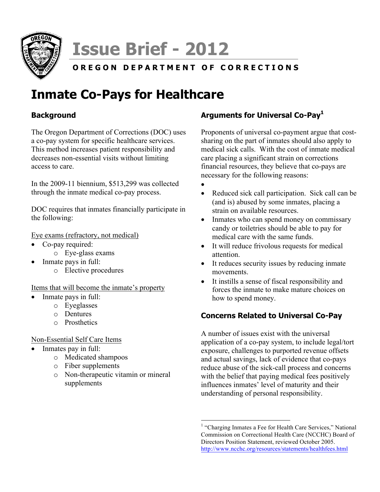

# **Issue Brief - 2012**

# **OREGON DEPARTMENT OF CORRECTIONS**

# **Inmate Co-Pays for Healthcare**

# **Background**

The Oregon Department of Corrections (DOC) uses a co-pay system for specific healthcare services. This method increases patient responsibility and decreases non-essential visits without limiting access to care.

In the 2009-11 biennium, \$513,299 was collected through the inmate medical co-pay process.

DOC requires that inmates financially participate in the following:

#### Eye exams (refractory, not medical)

- Co-pay required:
	- o Eye-glass exams
- Inmate pays in full:
	- o Elective procedures

### Items that will become the inmate's property

- Inmate pays in full:
	- o Eyeglasses
	- o Dentures
	- o Prosthetics

### Non-Essential Self Care Items

- Inmates pay in full:
	- o Medicated shampoos
	- o Fiber supplements
	- o Non-therapeutic vitamin or mineral supplements

# **Arguments for Universal Co-Pay1**

Proponents of universal co-payment argue that costsharing on the part of inmates should also apply to medical sick calls. With the cost of inmate medical care placing a significant strain on corrections financial resources, they believe that co-pays are necessary for the following reasons:

- •
- Reduced sick call participation. Sick call can be (and is) abused by some inmates, placing a strain on available resources.
- Inmates who can spend money on commissary candy or toiletries should be able to pay for medical care with the same funds.
- It will reduce frivolous requests for medical attention.
- It reduces security issues by reducing inmate movements.
- It instills a sense of fiscal responsibility and forces the inmate to make mature choices on how to spend money.

# **Concerns Related to Universal Co-Pay**

A number of issues exist with the universal application of a co-pay system, to include legal/tort exposure, challenges to purported revenue offsets and actual savings, lack of evidence that co-pays reduce abuse of the sick-call process and concerns with the belief that paying medical fees positively influences inmates' level of maturity and their understanding of personal responsibility.

<sup>&</sup>lt;sup>1</sup> "Charging Inmates a Fee for Health Care Services," National Commission on Correctional Health Care (NCCHC) Board of Directors Position Statement, reviewed October 2005. http://www.ncchc.org/resources/statements/healthfees.html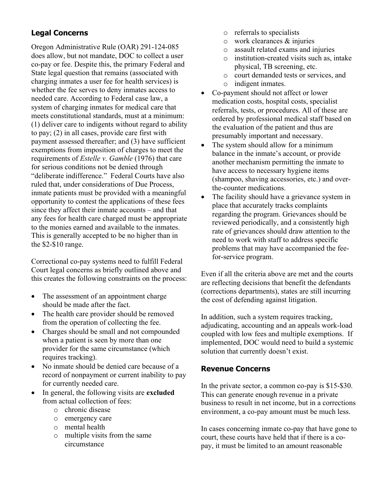# **Legal Concerns**

Oregon Administrative Rule (OAR) 291-124-085 does allow, but not mandate, DOC to collect a user co-pay or fee. Despite this, the primary Federal and State legal question that remains (associated with charging inmates a user fee for health services) is whether the fee serves to deny inmates access to needed care. According to Federal case law, a system of charging inmates for medical care that meets constitutional standards, must at a minimum: (1) deliver care to indigents without regard to ability to pay; (2) in all cases, provide care first with payment assessed thereafter; and (3) have sufficient exemptions from imposition of charges to meet the requirements of *Estelle v. Gamble* (1976) that care for serious conditions not be denied through "deliberate indifference." Federal Courts have also ruled that, under considerations of Due Process, inmate patients must be provided with a meaningful opportunity to contest the applications of these fees since they affect their inmate accounts – and that any fees for health care charged must be appropriate to the monies earned and available to the inmates. This is generally accepted to be no higher than in the \$2-\$10 range.

Correctional co-pay systems need to fulfill Federal Court legal concerns as briefly outlined above and this creates the following constraints on the process:

- The assessment of an appointment charge should be made after the fact.
- The health care provider should be removed from the operation of collecting the fee.
- Charges should be small and not compounded when a patient is seen by more than one provider for the same circumstance (which requires tracking).
- No inmate should be denied care because of a record of nonpayment or current inability to pay for currently needed care.
- In general, the following visits are **excluded** from actual collection of fees:
	- o chronic disease
	- o emergency care
	- o mental health
	- o multiple visits from the same circumstance
- o referrals to specialists
- $\circ$  work clearances  $\&$  injuries
- o assault related exams and injuries
- o institution-created visits such as, intake physical, TB screening, etc.
- o court demanded tests or services, and
- o indigent inmates.
- Co-payment should not affect or lower medication costs, hospital costs, specialist referrals, tests, or procedures. All of these are ordered by professional medical staff based on the evaluation of the patient and thus are presumably important and necessary.
- The system should allow for a minimum balance in the inmate's account, or provide another mechanism permitting the inmate to have access to necessary hygiene items (shampoo, shaving accessories, etc.) and overthe-counter medications.
- The facility should have a grievance system in place that accurately tracks complaints regarding the program. Grievances should be reviewed periodically, and a consistently high rate of grievances should draw attention to the need to work with staff to address specific problems that may have accompanied the feefor-service program.

Even if all the criteria above are met and the courts are reflecting decisions that benefit the defendants (corrections departments), states are still incurring the cost of defending against litigation.

In addition, such a system requires tracking, adjudicating, accounting and an appeals work-load coupled with low fees and multiple exemptions. If implemented, DOC would need to build a systemic solution that currently doesn't exist.

# **Revenue Concerns**

In the private sector, a common co-pay is \$15-\$30. This can generate enough revenue in a private business to result in net income, but in a corrections environment, a co-pay amount must be much less.

In cases concerning inmate co-pay that have gone to court, these courts have held that if there is a copay, it must be limited to an amount reasonable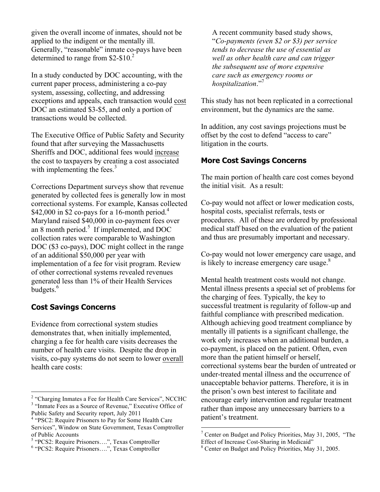given the overall income of inmates, should not be applied to the indigent or the mentally ill. Generally, "reasonable" inmate co-pays have been determined to range from \$2-\$10.<sup>2</sup>

In a study conducted by DOC accounting, with the current paper process, administering a co-pay system, assessing, collecting, and addressing exceptions and appeals, each transaction would cost DOC an estimated \$3-\$5, and only a portion of transactions would be collected.

The Executive Office of Public Safety and Security found that after surveying the Massachusetts Sheriffs and DOC, additional fees would increase the cost to taxpayers by creating a cost associated with implementing the fees. $3$ 

Corrections Department surveys show that revenue generated by collected fees is generally low in most correctional systems. For example, Kansas collected \$42,000 in \$2 co-pays for a 16-month period.<sup>4</sup> Maryland raised \$40,000 in co-payment fees over an 8 month period.<sup>5</sup> If implemented, and DOC collection rates were comparable to Washington DOC (\$3 co-pays), DOC might collect in the range of an additional \$50,000 per year with implementation of a fee for visit program. Review of other correctional systems revealed revenues generated less than 1% of their Health Services budgets.<sup>6</sup>

### **Cost Savings Concerns**

Evidence from correctional system studies demonstrates that, when initially implemented, charging a fee for health care visits decreases the number of health care visits. Despite the drop in visits, co-pay systems do not seem to lower overall health care costs:

A recent community based study shows, "*Co-payments (even \$2 or \$3) per service tends to decrease the use of essential as well as other health care and can trigger the subsequent use of more expensive care such as emergency rooms or hospitalization*."<sup>7</sup>

This study has not been replicated in a correctional environment, but the dynamics are the same.

In addition, any cost savings projections must be offset by the cost to defend "access to care" litigation in the courts.

### **More Cost Savings Concerns**

The main portion of health care cost comes beyond the initial visit. As a result:

Co-pay would not affect or lower medication costs, hospital costs, specialist referrals, tests or procedures. All of these are ordered by professional medical staff based on the evaluation of the patient and thus are presumably important and necessary.

Co-pay would not lower emergency care usage, and is likely to increase emergency care usage. $8<sup>8</sup>$ 

Mental health treatment costs would not change. Mental illness presents a special set of problems for the charging of fees. Typically, the key to successful treatment is regularity of follow-up and faithful compliance with prescribed medication. Although achieving good treatment compliance by mentally ill patients is a significant challenge, the work only increases when an additional burden, a co-payment, is placed on the patient. Often, even more than the patient himself or herself, correctional systems bear the burden of untreated or under-treated mental illness and the occurrence of unacceptable behavior patterns. Therefore, it is in the prison's own best interest to facilitate and encourage early intervention and regular treatment rather than impose any unnecessary barriers to a patient's treatment.

<sup>&</sup>lt;sup>2</sup> "Charging Inmates a Fee for Health Care Services", NCCHC<br><sup>3</sup> "Inmate Fees as a Source of Revenue," Executive Office of

Public Safety and Security report, July 2011

<sup>4</sup> "PSC2: Require Prisoners to Pay for Some Health Care Services", Window on State Government, Texas Comptroller of Public Accounts

<sup>&</sup>lt;sup>5</sup> "PCS2: Require Prisoners....", Texas Comptroller

<sup>6</sup> "PCS2: Require Prisoners….", Texas Comptroller

<sup>&</sup>lt;sup>7</sup> Center on Budget and Policy Priorities, May 31, 2005, "The

Effect of Increase Cost-Sharing in Medicaid"<br><sup>8</sup> Center on Budget and Policy Priorities, May 31, 2005.